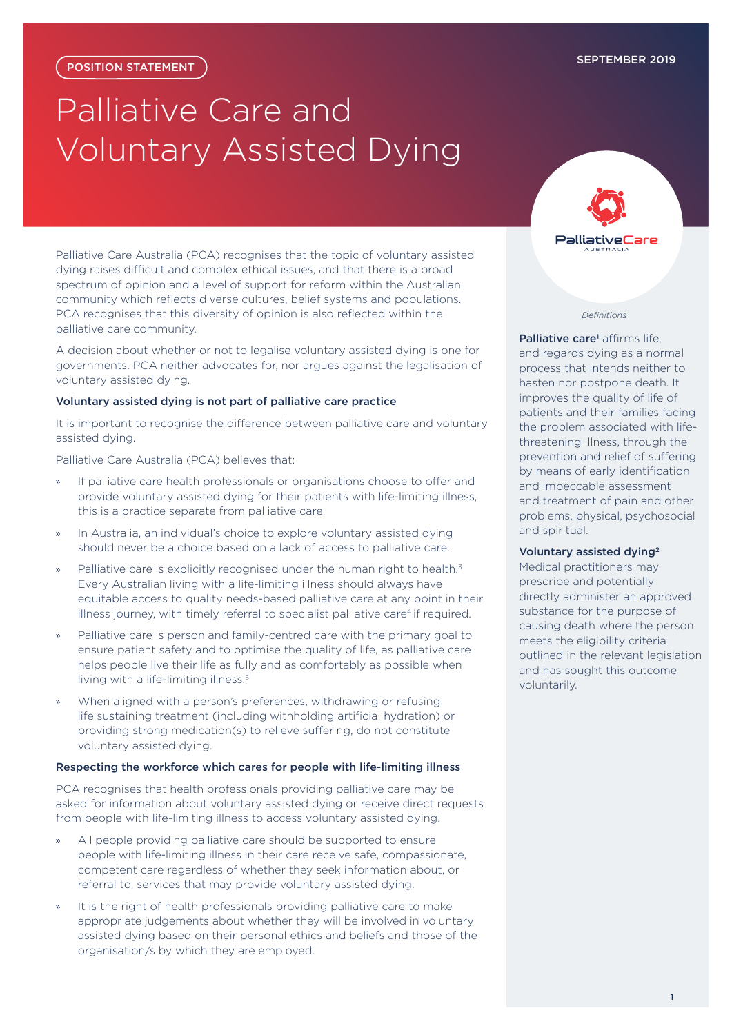# Palliative Care and Voluntary Assisted Dying

Palliative Care Australia (PCA) recognises that the topic of voluntary assisted dying raises difficult and complex ethical issues, and that there is a broad spectrum of opinion and a level of support for reform within the Australian community which reflects diverse cultures, belief systems and populations. PCA recognises that this diversity of opinion is also reflected within the palliative care community.

A decision about whether or not to legalise voluntary assisted dying is one for governments. PCA neither advocates for, nor argues against the legalisation of voluntary assisted dying.

# Voluntary assisted dying is not part of palliative care practice

It is important to recognise the difference between palliative care and voluntary assisted dying.

Palliative Care Australia (PCA) believes that:

- » If palliative care health professionals or organisations choose to offer and provide voluntary assisted dying for their patients with life-limiting illness, this is a practice separate from palliative care.
- » In Australia, an individual's choice to explore voluntary assisted dying should never be a choice based on a lack of access to palliative care.
- Palliative care is explicitly recognised under the human right to health.<sup>3</sup> Every Australian living with a life-limiting illness should always have equitable access to quality needs-based palliative care at any point in their illness journey, with timely referral to specialist palliative care<sup>4</sup> if required.
- » Palliative care is person and family-centred care with the primary goal to ensure patient safety and to optimise the quality of life, as palliative care helps people live their life as fully and as comfortably as possible when living with a life-limiting illness.<sup>5</sup>
- When aligned with a person's preferences, withdrawing or refusing life sustaining treatment (including withholding artificial hydration) or providing strong medication(s) to relieve suffering, do not constitute voluntary assisted dying.

## Respecting the workforce which cares for people with life-limiting illness

PCA recognises that health professionals providing palliative care may be asked for information about voluntary assisted dying or receive direct requests from people with life-limiting illness to access voluntary assisted dying.

- » All people providing palliative care should be supported to ensure people with life-limiting illness in their care receive safe, compassionate, competent care regardless of whether they seek information about, or referral to, services that may provide voluntary assisted dying.
- It is the right of health professionals providing palliative care to make appropriate judgements about whether they will be involved in voluntary assisted dying based on their personal ethics and beliefs and those of the organisation/s by which they are employed.



# *Definitions*

Palliative care<sup>1</sup> affirms life. and regards dying as a normal process that intends neither to hasten nor postpone death. It improves the quality of life of patients and their families facing the problem associated with lifethreatening illness, through the prevention and relief of suffering by means of early identification and impeccable assessment and treatment of pain and other problems, physical, psychosocial and spiritual.

# Voluntary assisted dying2

Medical practitioners may prescribe and potentially directly administer an approved substance for the purpose of causing death where the person meets the eligibility criteria outlined in the relevant legislation and has sought this outcome voluntarily.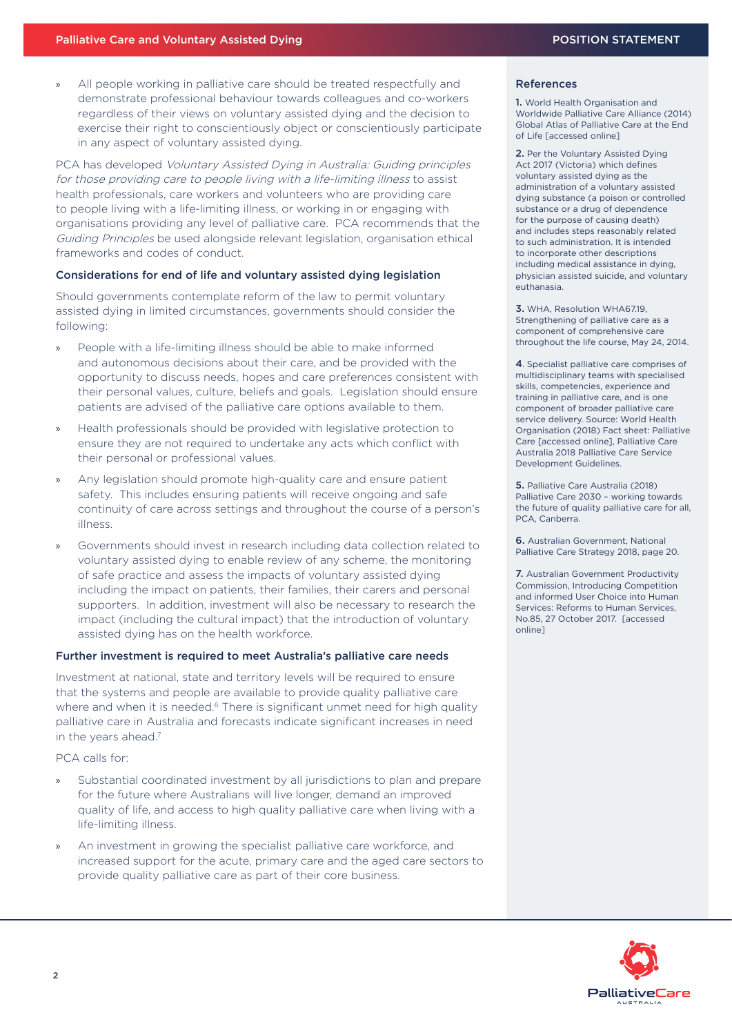» All people working in palliative care should be treated respectfully and demonstrate professional behaviour towards colleagues and co-workers regardless of their views on voluntary assisted dying and the decision to exercise their right to conscientiously object or conscientiously participate in any aspect of voluntary assisted dying.

PCA has developed [Voluntary Assisted Dying in Australia: Guiding principles](https://palliativecare.org.au/wp-content/uploads/dlm_uploads/2019/06/PCA-Guiding-Principles-Voluntary-Assisted-Dying.pdf)  [for those providing care to people living with a life-limiting illness](https://palliativecare.org.au/wp-content/uploads/dlm_uploads/2019/06/PCA-Guiding-Principles-Voluntary-Assisted-Dying.pdf) to assist health professionals, care workers and volunteers who are providing care to people living with a life-limiting illness, or working in or engaging with organisations providing any level of palliative care. PCA recommends that the Guiding Principles be used alongside relevant legislation, organisation ethical frameworks and codes of conduct.

# Considerations for end of life and voluntary assisted dying legislation

Should governments contemplate reform of the law to permit voluntary assisted dying in limited circumstances, governments should consider the following:

- People with a life-limiting illness should be able to make informed and autonomous decisions about their care, and be provided with the opportunity to discuss needs, hopes and care preferences consistent with their personal values, culture, beliefs and goals. Legislation should ensure patients are advised of the palliative care options available to them.
- » Health professionals should be provided with legislative protection to ensure they are not required to undertake any acts which conflict with their personal or professional values.
- Any legislation should promote high-quality care and ensure patient safety. This includes ensuring patients will receive ongoing and safe continuity of care across settings and throughout the course of a person's illness.
- » Governments should invest in research including data collection related to voluntary assisted dying to enable review of any scheme, the monitoring of safe practice and assess the impacts of voluntary assisted dying including the impact on patients, their families, their carers and personal supporters. In addition, investment will also be necessary to research the impact (including the cultural impact) that the introduction of voluntary assisted dying has on the health workforce.

# Further investment is required to meet Australia's palliative care needs

Investment at national, state and territory levels will be required to ensure that the systems and people are available to provide quality palliative care where and when it is needed.<sup>6</sup> There is significant unmet need for high quality palliative care in Australia and forecasts indicate significant increases in need in the years ahead.<sup>7</sup>

PCA calls for:

- » Substantial coordinated investment by all jurisdictions to plan and prepare for the future where Australians will live longer, demand an improved quality of life, and access to high quality palliative care when living with a life-limiting illness.
- An investment in growing the specialist palliative care workforce, and increased support for the acute, primary care and the aged care sectors to provide quality palliative care as part of their core business.

## References

1. World Health Organisation and Worldwide Palliative Care Alliance (2014) Global Atlas of Palliative Care at the End of Life [accessed online]

2. Per the Voluntary Assisted Dying Act 2017 (Victoria) which defines voluntary assisted dying as the administration of a voluntary assisted dying substance (a poison or controlled substance or a drug of dependence for the purpose of causing death) and includes steps reasonably related to such administration. It is intended to incorporate other descriptions including medical assistance in dying, physician assisted suicide, and voluntary euthanasia.

3. WHA, Resolution WHA6719 Strengthening of palliative care as a component of comprehensive care throughout the life course, May 24, 2014.

4. Specialist palliative care comprises of multidisciplinary teams with specialised skills, competencies, experience and training in palliative care, and is one component of broader palliative care service delivery. Source: World Health Organisation (2018) Fact sheet: Palliative Care [accessed online], Palliative Care Australia 2018 Palliative Care Service Development Guidelines.

5. Palliative Care Australia (2018) Palliative Care 2030 – working towards the future of quality palliative care for all, PCA, Canberra.

6. Australian Government, National Palliative Care Strategy 2018, page 20.

7. Australian Government Productivity Commission, Introducing Competition and informed User Choice into Human Services: Reforms to Human Services, No.85, 27 October 2017. [accessed online]